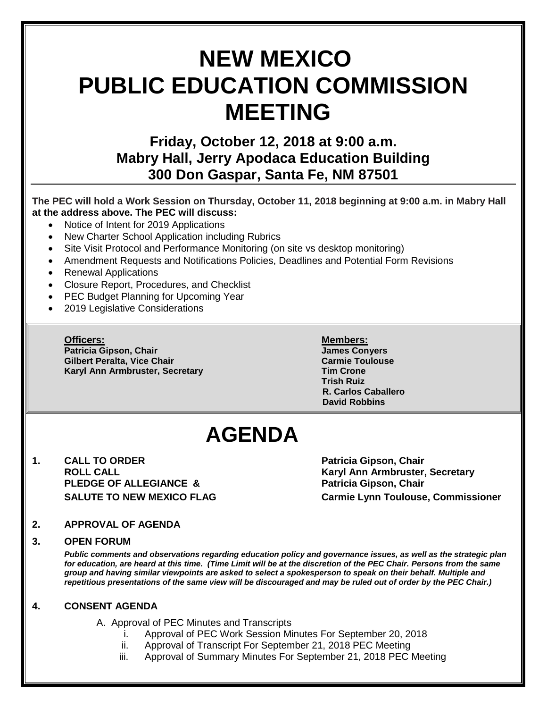# **NEW MEXICO PUBLIC EDUCATION COMMISSION MEETING**

### **Friday, October 12, 2018 at 9:00 a.m. Mabry Hall, Jerry Apodaca Education Building 300 Don Gaspar, Santa Fe, NM 87501**

#### **The PEC will hold a Work Session on Thursday, October 11, 2018 beginning at 9:00 a.m. in Mabry Hall at the address above. The PEC will discuss:**

- Notice of Intent for 2019 Applications
- New Charter School Application including Rubrics
- Site Visit Protocol and Performance Monitoring (on site vs desktop monitoring)
- Amendment Requests and Notifications Policies, Deadlines and Potential Form Revisions
- Renewal Applications
- Closure Report, Procedures, and Checklist
- PEC Budget Planning for Upcoming Year
- 2019 Legislative Considerations

**Officers: Members: Patricia Gipson, Chair James Conyers Gilbert Peralta, Vice Chair Carmie Toulouse Karyl Ann Armbruster, Secretary Tim Crone**

**Trish Ruiz R. Carlos Caballero David Robbins**

## **AGENDA**

**1. CALL TO ORDER Patricia Gipson, Chair PLEDGE OF ALLEGIANCE & Patricia Gipson, Chair** 

**ROLL CALL Karyl Ann Armbruster, Secretary SALUTE TO NEW MEXICO FLAG Carmie Lynn Toulouse, Commissioner**

#### **2. APPROVAL OF AGENDA**

#### **3. OPEN FORUM**

*Public comments and observations regarding education policy and governance issues, as well as the strategic plan for education, are heard at this time. (Time Limit will be at the discretion of the PEC Chair. Persons from the same group and having similar viewpoints are asked to select a spokesperson to speak on their behalf. Multiple and repetitious presentations of the same view will be discouraged and may be ruled out of order by the PEC Chair.)*

#### **4. CONSENT AGENDA**

A. Approval of PEC Minutes and Transcripts

- i. Approval of PEC Work Session Minutes For September 20, 2018
- ii. Approval of Transcript For September 21, 2018 PEC Meeting
- iii. Approval of Summary Minutes For September 21, 2018 PEC Meeting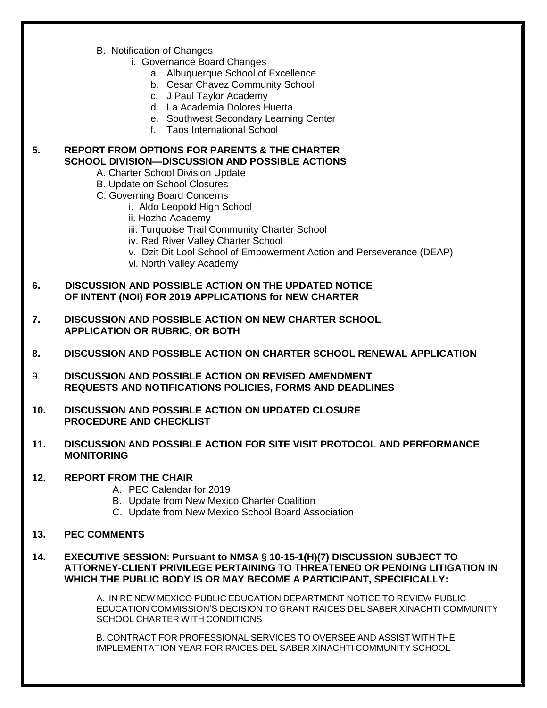- B. Notification of Changes
	- i. Governance Board Changes
		- a. Albuquerque School of Excellence
		- b. Cesar Chavez Community School
		- c. J Paul Taylor Academy
		- d. La Academia Dolores Huerta
		- e. Southwest Secondary Learning Center
		- f. Taos International School

#### **5. REPORT FROM OPTIONS FOR PARENTS & THE CHARTER SCHOOL DIVISION—DISCUSSION AND POSSIBLE ACTIONS**

- A. Charter School Division Update
- B. Update on School Closures
- C. Governing Board Concerns
	- i. Aldo Leopold High School
	- ii. Hozho Academy
	- iii. Turquoise Trail Community Charter School
	- iv. Red River Valley Charter School
	- v. Dzit Dit Lool School of Empowerment Action and Perseverance (DEAP)
	- vi. North Valley Academy
- **6. DISCUSSION AND POSSIBLE ACTION ON THE UPDATED NOTICE OF INTENT (NOI) FOR 2019 APPLICATIONS for NEW CHARTER**
- **7. DISCUSSION AND POSSIBLE ACTION ON NEW CHARTER SCHOOL APPLICATION OR RUBRIC, OR BOTH**
- **8. DISCUSSION AND POSSIBLE ACTION ON CHARTER SCHOOL RENEWAL APPLICATION**
- 9. **DISCUSSION AND POSSIBLE ACTION ON REVISED AMENDMENT REQUESTS AND NOTIFICATIONS POLICIES, FORMS AND DEADLINES**
- **10. DISCUSSION AND POSSIBLE ACTION ON UPDATED CLOSURE PROCEDURE AND CHECKLIST**
- **11. DISCUSSION AND POSSIBLE ACTION FOR SITE VISIT PROTOCOL AND PERFORMANCE MONITORING**

#### **12. REPORT FROM THE CHAIR**

- A. PEC Calendar for 2019
- B. Update from New Mexico Charter Coalition
- C. Update from New Mexico School Board Association
- **13. PEC COMMENTS**
- **14. EXECUTIVE SESSION: Pursuant to NMSA § 10-15-1(H)(7) DISCUSSION SUBJECT TO ATTORNEY-CLIENT PRIVILEGE PERTAINING TO THREATENED OR PENDING LITIGATION IN WHICH THE PUBLIC BODY IS OR MAY BECOME A PARTICIPANT, SPECIFICALLY:**

A. IN RE NEW MEXICO PUBLIC EDUCATION DEPARTMENT NOTICE TO REVIEW PUBLIC EDUCATION COMMISSION'S DECISION TO GRANT RAICES DEL SABER XINACHTI COMMUNITY SCHOOL CHARTER WITH CONDITIONS

B. CONTRACT FOR PROFESSIONAL SERVICES TO OVERSEE AND ASSIST WITH THE IMPLEMENTATION YEAR FOR RAICES DEL SABER XINACHTI COMMUNITY SCHOOL